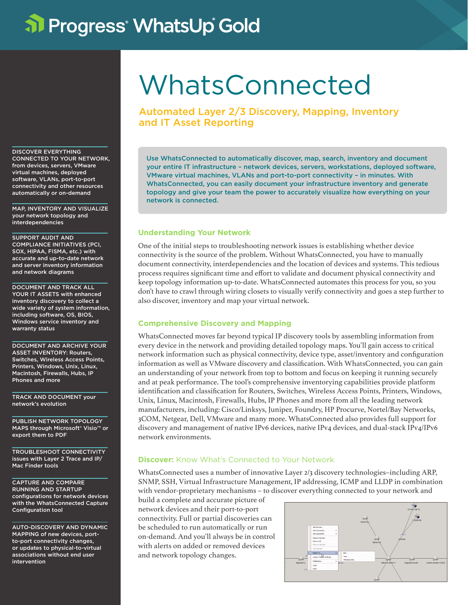# al Progress<sup>®</sup> WhatsUp Gold

DISCOVER EVERYTHING CONNECTED TO YOUR NETWORK, from devices, servers, VMware virtual machines, deployed software, VLANs, port-to-port connectivity and other resources automatically or on-demand

MAP, INVENTORY AND VISUALIZE your network topology and interdependencies

SUPPORT AUDIT AND COMPLIANCE INITIATIVES (PCI, SOX, HIPAA, FISMA, etc.) with accurate and up-to-date network and server inventory information and network diagrams

DOCUMENT AND TRACK ALL YOUR IT ASSETS with enhanced inventory discovery to collect a wide variety of system information, including software, OS, BIOS, Windows service inventory and warranty status

DOCUMENT AND ARCHIVE YOUR ASSET INVENTORY: Routers, Switches, Wireless Access Points, Printers, Windows, Unix, Linux, Macintosh, Firewalls, Hubs, IP Phones and more

TRACK AND DOCUMENT your network's evolution

PUBLISH NETWORK TOPOLOGY MAPS through Microsoft® Visio™ or export them to PDF

TROUBLESHOOT CONNECTIVITY issues with Layer 2 Trace and IP/ Mac Finder tools

CAPTURE AND COMPARE RUNNING AND STARTUP configurations for network devices with the WhatsConnected Capture Configuration tool

AUTO-DISCOVERY AND DYNAMIC MAPPING of new devices, portto-port connectivity changes, or updates to physical-to-virtual associations without end user intervention

# WhatsConnected

Automated Layer 2/3 Discovery, Mapping, Inventory and IT Asset Reporting

Use WhatsConnected to automatically discover, map, search, inventory and document your entire IT infrastructure – network devices, servers, workstations, deployed software, VMware virtual machines, VLANs and port-to-port connectivity – in minutes. With WhatsConnected, you can easily document your infrastructure inventory and generate topology and give your team the power to accurately visualize how everything on your network is connected.

## **Understanding Your Network**

One of the initial steps to troubleshooting network issues is establishing whether device connectivity is the source of the problem. Without WhatsConnected, you have to manually document connectivity, interdependencies and the location of devices and systems. This tedious process requires significant time and effort to validate and document physical connectivity and keep topology information up-to-date. WhatsConnected automates this process for you, so you don't have to crawl through wiring closets to visually verify connectivity and goes a step further to also discover, inventory and map your virtual network.

## **Comprehensive Discovery and Mapping**

WhatsConnected moves far beyond typical IP discovery tools by assembling information from every device in the network and providing detailed topology maps. You'll gain access to critical network information such as physical connectivity, device type, asset/inventory and configuration information as well as VMware discovery and classification. With WhatsConnected, you can gain an understanding of your network from top to bottom and focus on keeping it running securely and at peak performance. The tool's comprehensive inventorying capabilities provide platform identification and classification for Routers, Switches, Wireless Access Points, Printers, Windows, Unix, Linux, Macintosh, Firewalls, Hubs, IP Phones and more from all the leading network manufacturers, including: Cisco/Linksys, Juniper, Foundry, HP Procurve, Nortel/Bay Networks, 3COM, Netgear, Dell, VMware and many more. WhatsConnected also provides full support for discovery and management of native IPv6 devices, native IPv4 devices, and dual-stack IPv4/IPv6 network environments.

## **Discover:** Know What's Connected to Your Network

WhatsConnected uses a number of innovative Layer 2/3 discovery technologies–including ARP, SNMP, SSH, Virtual Infrastructure Management, IP addressing, ICMP and LLDP in combination with vendor-proprietary mechanisms – to discover everything connected to your network and

build a complete and accurate picture of network devices and their port-to-port connectivity. Full or partial discoveries can be scheduled to run automatically or run on-demand. And you'll always be in control with alerts on added or removed devices and network topology changes.